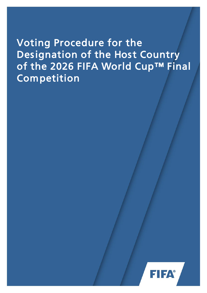Voting Procedure for the Designation of the Host Country of the 2026 FIFA World Cup™ Final Competition

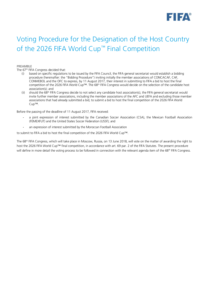

# Voting Procedure for the Designation of the Host Country of the 2026 FIFA World Cup™ Final Competition

#### **PREAMBLE**

The 67<sup>th</sup> FIFA Congress decided that:

- (i) based on specific regulations to be issued by the FIFA Council, the FIFA general secretariat would establish a bidding procedure (hereinafter: the "Bidding Procedure") inviting initially the member associations of CONCACAF, CAF, CONMEBOL and the OFC to express, by 11 August 2017, their interest in submitting to FIFA a bid to host the final competition of the 2026 FIFA World Cup™. The 68th FIFA Congress would decide on the selection of the candidate host association(s); and
- (ii) should the 68<sup>th</sup> FIFA Congress decide to not select any candidate host association(s), the FIFA general secretariat would invite further member associations, including the member associations of the AFC and UEFA and excluding those member associations that had already submitted a bid, to submit a bid to host the final competition of the 2026 FIFA World Cup™.

Before the passing of the deadline of 11 August 2017, FIFA received:

- a joint expression of interest submitted by the Canadian Soccer Association (CSA), the Mexican Football Association (FEMEXFUT) and the United States Soccer Federation (USSF); and
- an expression of interest submitted by the Moroccan Football Association

to submit to FIFA a bid to host the final competition of the 2026 FIFA World Cup™.

The 68th FIFA Congress, which will take place in Moscow, Russia, on 13 June 2018, will vote on the matter of awarding the right to host the 2026 FIFA World Cup™ final competition, in accordance with art. 69 par. 2 of the FIFA Statutes. The present procedure will define in more detail the voting process to be followed in connection with the relevant agenda item of the 68<sup>th</sup> FIFA Congress.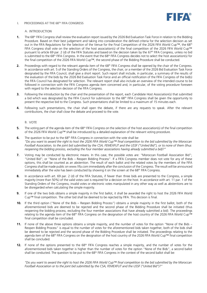

### **I.** PROCEEDINGS AT THE 68<sup>TH</sup> FIFA CONGRESS

## **A.** INTRODUCTION

- **1.** The 68<sup>th</sup> FIFA Congress shall review the evaluation report issued by the 2026 Bid Evaluation Task Force in relation to the Bidding Procedure. Based on their best judgement and taking into consideration the defined criteria for the selection decision as set out in the FIFA Regulations for the Selection of the Venue for the Final Competition of the 2026 FIFA World Cup™, the 68<sup>th</sup> FIFA Congress shall vote on the selection of the host association(s) of the final competition of the 2026 FIFA World Cup™ pursuant to article 69 par. 2 (d) of the FIFA Statutes and based on the decision taken by the 67<sup>th</sup> FIFA Congress, unless no bid is submitted to the 68<sup>th</sup> FIFA Congress. In the event that the 68<sup>th</sup> FIFA Congress decides not to select the host association(s) for the final competition of the 2026 FIFA World Cup™, the second phase of the Bidding Procedure shall be conducted.
- **2.** Proceedings with regard to the relevant agenda item of the 68<sup>th</sup> FIFA Congress shall be opened by the chair of the Congress. In accordance with art. 5 of the Standing Orders of the Congress, the chair, or a member of the 2026 Bid Evaluation Task Force designated by the FIFA Council, shall give a short report. Such report shall include, in particular, a summary of the results of the evaluation of the bids by the 2026 Bid Evaluation Task Force and an official notification of the FIFA Congress of the bid(s) the FIFA Council has designated for selection. The relevant report shall also include an overview of the intended course to be followed in connection with the FIFA Congress agenda item concerned and, in particular, of the voting procedure foreseen with regard to the selection decision of the FIFA Congress.
- **3.** Following the introduction by the chair and the presentation of the report, each Candidate Host Association(s) that submitted a bid which was designated by the FIFA Council for submission to the 68<sup>th</sup> FIFA Congress shall be given the opportunity to present the respective bid to the Congress. Such presentations shall be limited to a maximum of 15 minutes each.
- **4.** Following such presentations, the chair shall open the debate, if there are any requests to speak. After the relevant contributions, the chair shall close the debate and proceed to the vote.

## **B.** VOTE

- **5.** The voting part of the agenda item of the 68<sup>th</sup> FIFA Congress on the selection of the host association(s) of the final competition of the 2026 FIFA World Cup™ shall be introduced by a detailed explanation of the relevant voting procedure.
- **6.** The question to be put to the 68<sup>th</sup> FIFA Congress in connection with the vote shall be: *"Do you want to award the right to host the 2026 FIFA World Cup™ final competition to the bid submitted by the Moroccan Football Association, to the joint bid submitted by the CSA, FEMEXFUT and the USSF ("United Bid"), or to none of them (thus reopening the bidding process, excluding the four member associations having already submitted a bid)?"*
- **7.** Voting may be conducted by electronic means. In this case, the possible votes are: "Moroccan Football Association Bid"; "United Bid"; or "None of the Bids – Reopen Bidding Process". If a FIFA Congress member does not vote for any of these options, this shall be counted as an abstention. The result of each ballot and the related votes by the members of the FIFA Congress shall be made public o[n www.fifa.com](http://www.fifa.com/) immediately after the conclusion of the Congress. The result will be announced immediately after the vote has been conducted by showing it on the screen at the  $68<sup>th</sup>$  FIFA Congress.
- **8.** In accordance with art. 69 par. 2 (d) of the FIFA Statutes, if fewer than three bids are presented to the Congress, a simple majority (more than 50%) of the valid votes cast is required for a decision on the host. In accordance with art. 11 par. 1 of the Standing Orders of the Congress, invalid votes or electronic votes manipulated in any other way as well as abstentions are to be disregarded when calculating the simple majority.
- **9.** If one of the two bids obtains a simple majority in the first ballot, it shall be awarded the right to host the 2026 FIFA World Cup™ final competition. The other bid shall be deemed to be rejected by FIFA. This decision is final.
- **10.** If the third option ("None of the Bids Reopen Bidding Process") obtains a simple majority in the first ballot, both of the aforementioned bids are deemed to be rejected and the second phase of the Bidding Procedure shall be initiated (thus reopening the bidding process, excluding the four member associations that have already submitted a bid). The proceedings relating to the agenda item of the 68<sup>th</sup> FIFA Congress on the designation of the host country of the 2026 FIFA World Cup™ final competition shall be concluded.
- **11.** If none of the above three options obtains a simple majority, and the number of votes for the option "None of the Bids Reopen Bidding Process" is equal to the number of votes for the aforementioned bids taken together, both of the bids shall be deemed to be rejected and the second phase of the Bidding Procedure shall be initiated. The proceedings relating to the agenda item of the 68<sup>th</sup> FIFA Congress on the designation of the host country of the 2026 FIFA World Cup™ final competition shall be concluded.
- **12.** If none of the options presented to the 68<sup>th</sup> FIFA Congress reaches a simple majority, and the number of votes for the aforementioned bids taken together is higher than the number of votes for the option "None of the Bids", a second ballot shall be conducted. The question to be put to the  $68<sup>th</sup>$  FIFA Congress in the context of the second ballot shall be:

*"Do you want to award the right to host the 2026 FIFA World Cup™ final competition to the bid submitted by the Moroccan Football Association or to the joint bid submitted by the CSA, FEMEXFUT and the USSF ("United Bid")?"*